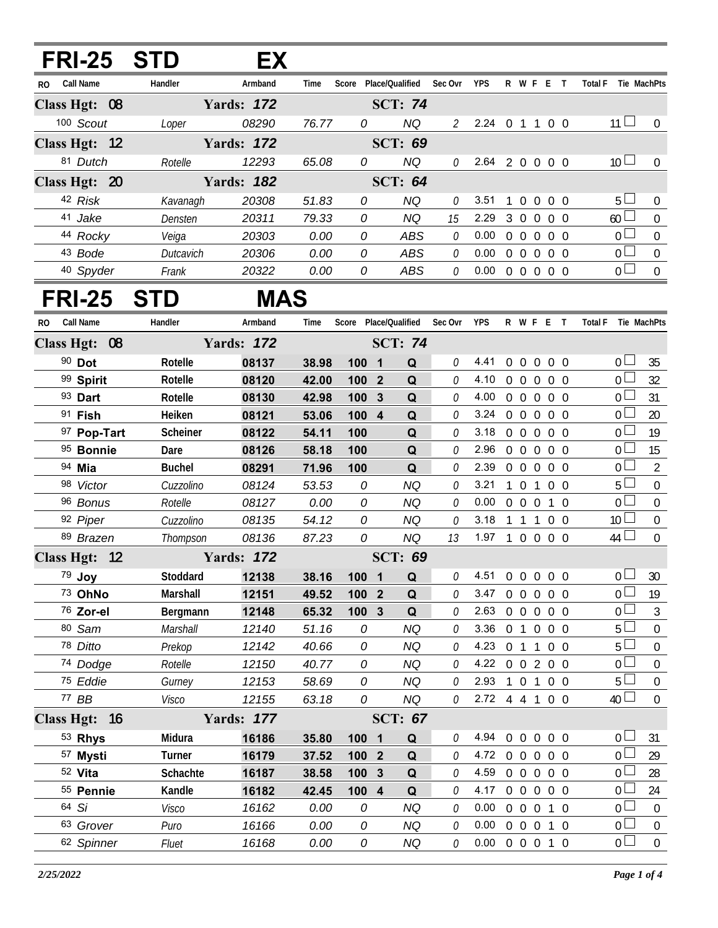## **FRI-25 STD EX**

| RO. | Call Name     | Handler   | Armband           | Time  | Score | Place/Oualified | Sec Ovr       | <b>YPS</b>     | R              | W                 | F        | E              | Total F   | Tie MachPts |
|-----|---------------|-----------|-------------------|-------|-------|-----------------|---------------|----------------|----------------|-------------------|----------|----------------|-----------|-------------|
|     | Class Hgt: 08 |           | <b>Yards: 172</b> |       |       | <b>SCT: 74</b>  |               |                |                |                   |          |                |           |             |
|     | 100 Scout     | Loper     | 08290             | 76.77 | 0     | NQ              | $\mathcal{P}$ | $2.24 \quad 0$ |                |                   | 1 0 0    |                | 11        | $\Omega$    |
|     | Class Hgt: 12 |           | <b>Yards: 172</b> |       |       | <b>SCT: 69</b>  |               |                |                |                   |          |                |           |             |
|     | 81 Dutch      | Rotelle   | 12293             | 65.08 | 0     | NQ              | 0             | 2.64 2 0 0 0 0 |                |                   |          |                | $10 \Box$ | $\Omega$    |
|     | Class Hgt: 20 |           | <b>Yards: 182</b> |       |       | SCT: $64$       |               |                |                |                   |          |                |           |             |
|     | 42 Risk       | Kavanagh  | 20308             | 51.83 | 0     | NQ              | <sup>n</sup>  | 3.51           | $\overline{1}$ | $0 \t0 \t0 \t0$   |          |                | $5 \Box$  | $\Omega$    |
|     | 41 Jake       | Densten   | 20311             | 79.33 | 0     | NQ              | 15            | 2.29           | 3              | $\Omega$          | $\Omega$ | 0 Q            | 60        | $\Omega$    |
|     | 44 Rocky      | Veiga     | 20303             | 0.00  | 0     | ABS             | 0             | 0.00           | $\Omega$       | $\Omega$          | $\Omega$ | 0 O            |           | $\Omega$    |
|     | 43 Bode       | Dutcavich | 20306             | 0.00  | 0     | ABS             | ſ.            | 0.00           | $\Omega$       | $\cdot$ 0 $\cdot$ | $\cap$   | 0 <sub>0</sub> | n l       | $\Omega$    |
|     | 40 Spyder     | Frank     | 20322             | 0.00  | 0     | ABS             | 0             | 0.00           | 0              |                   | $\Omega$ | 0 <sub>0</sub> |           | $\Omega$    |

## **FRI-25 STD MAS**

| RO. | Call Name     | Handler       | Armband           | Time  |       |                         |                | Score Place/Qualified Sec Ovr YPS |                            |                   |                | R W F E T      | Total F Tie MachPts |                |
|-----|---------------|---------------|-------------------|-------|-------|-------------------------|----------------|-----------------------------------|----------------------------|-------------------|----------------|----------------|---------------------|----------------|
|     | Class Hgt: 08 |               | <b>Yards: 172</b> |       |       |                         | <b>SCT: 74</b> |                                   |                            |                   |                |                |                     |                |
|     | 90 Dot        | Rotelle       | 08137             | 38.98 | 100 1 |                         | Q              | 0                                 | 4.41                       |                   |                | 0 0 0 0 0      | 0 <sup>1</sup>      | 35             |
|     | 99 Spirit     | Rotelle       | 08120             | 42.00 | 100 2 |                         | Q              | 0                                 | 4.10                       |                   |                | 0 0 0 0 0      | $0\perp$            | 32             |
|     | 93 Dart       | Rotelle       | 08130             | 42.98 | 100 3 |                         | Q              | 0                                 | 4.00                       |                   |                | 0 0 0 0 0      | 0 l                 | 31             |
|     | $91$ Fish     | Heiken        | 08121             | 53.06 | 100 4 |                         | Q              | 0                                 | 3.24                       | $0\quad 0\quad 0$ |                | $0\quad 0$     | 0 l                 | 20             |
|     | 97 Pop-Tart   | Scheiner      | 08122             | 54.11 | 100   |                         | Q              | 0                                 | 3.18                       | $0\quad 0$        | $\overline{0}$ | $0\quad 0$     | 0 <sup>1</sup>      | 19             |
|     | 95 Bonnie     | Dare          | 08126             | 58.18 | 100   |                         | Q              | 0                                 | 2.96                       | $0\quad 0$        | $\overline{0}$ | 0 <sub>0</sub> | 0 <sup>1</sup>      | 15             |
|     | 94 Mia        | <b>Buchel</b> | 08291             | 71.96 | 100   |                         | Q              | 0                                 | 2.39                       | $0\quad 0\quad 0$ |                | $0\quad 0$     | 0 <sup>1</sup>      | $\overline{2}$ |
|     | 98 Victor     | Cuzzolino     | 08124             | 53.53 | 0     |                         | <b>NQ</b>      | 0                                 | 3.21                       | 101               |                | $0\quad 0$     | 5 <sup>1</sup>      | $\mathbf 0$    |
|     | 96 Bonus      | Rotelle       | 08127             | 0.00  | 0     |                         | <b>NQ</b>      | 0                                 | 0.00                       |                   |                | 0 0 0 1 0      | 0 <sup>1</sup>      | $\mathbf 0$    |
|     | 92 Piper      | Cuzzolino     | 08135             | 54.12 | 0     |                         | <b>NQ</b>      | 0                                 | 3.18                       |                   |                | 1 1 1 0 0      | 10 <sup>1</sup>     | $\pmb{0}$      |
|     | 89 Brazen     | Thompson      | 08136             | 87.23 | 0     |                         | <b>NQ</b>      | 13                                | 1.97 1 0 0 0 0             |                   |                |                | $44 \Box$           | $\overline{0}$ |
|     | Class Hgt: 12 |               | <b>Yards: 172</b> |       |       |                         | <b>SCT: 69</b> |                                   |                            |                   |                |                |                     |                |
|     | 79 Joy        | Stoddard      | 12138             | 38.16 | 100 1 |                         | Q              | 0                                 | 4.51                       | $0\quad 0$        | $\overline{0}$ | $0\quad 0$     | 0 l                 | 30             |
|     | 73 OhNo       | Marshall      | 12151             | 49.52 | 100 2 |                         | Q              | 0                                 | 3.47                       | $0\quad 0$        | $\overline{0}$ | 0 <sub>0</sub> | 0 <sup>1</sup>      | 19             |
|     | 76 Zor-el     | Bergmann      | 12148             | 65.32 | 1003  |                         | Q              | 0                                 | 2.63                       | $0\quad 0\quad 0$ |                | $0\quad 0$     | 0 <sup>1</sup>      | $\mathfrak{Z}$ |
|     | 80 Sam        | Marshall      | 12140             | 51.16 | 0     |                         | <b>NQ</b>      | 0                                 | 3.36                       | 0 <sub>1</sub>    | $\overline{0}$ | $0\quad 0$     | 5 l                 | $\mathbf 0$    |
|     | 78 Ditto      | Prekop        | 12142             | 40.66 | 0     |                         | <b>NQ</b>      | 0                                 | 4.23                       | $0$ 1 1           |                | $0\quad 0$     | 5 <sub>1</sub>      | $\mathbf 0$    |
|     | 74 Dodge      | Rotelle       | 12150             | 40.77 | 0     |                         | <b>NQ</b>      | 0                                 | 4.22 0 0 2 0 0             |                   |                |                | 0 <sub>0</sub>      | $\mathbf 0$    |
|     | 75 Eddie      | Gurney        | 12153             | 58.69 | 0     |                         | <b>NQ</b>      | 0                                 | 2.93                       |                   |                | 1 0 1 0 0      | $5+$                | $\mathbf 0$    |
|     | 77 BB         | Visco         | 12155             | 63.18 | 0     |                         | <b>NQ</b>      | 0                                 | 2.72 4 4 1 0 0             |                   |                |                | 40 <sup>1</sup>     | $\overline{0}$ |
|     | Class Hgt: 16 |               | <b>Yards: 177</b> |       |       |                         | <b>SCT: 67</b> |                                   |                            |                   |                |                |                     |                |
|     | 53 Rhys       | Midura        | 16186             | 35.80 | 100   | $\overline{\mathbf{1}}$ | Q              | 0                                 | 4.94                       | $0\quad 0$        | $\mathbf 0$    | $0\quad 0$     | 0 l                 | 31             |
|     | 57 Mysti      | Turner        | 16179             | 37.52 | 100 2 |                         | Q              | 0                                 | 4.72                       |                   |                | 0 0 0 0 0      | 0 <sup>1</sup>      | 29             |
|     | 52 Vita       | Schachte      | 16187             | 38.58 | 100   | $\mathbf{3}$            | Q              | 0                                 | 4.59                       | $0\quad 0$        | $\overline{0}$ | $0\quad 0$     | 0 l                 | 28             |
|     | 55 Pennie     | Kandle        | 16182             | 42.45 | 100 4 |                         | Q              | 0                                 | 4.17                       | $0\quad 0\quad 0$ |                | $0\quad 0$     | 0 <sup>1</sup>      | 24             |
|     | 64 Si         | Visco         | 16162             | 0.00  | 0     |                         | <b>NQ</b>      | 0                                 | 0.00                       | $0\quad 0\quad 0$ |                | $1\quad0$      | 0 L                 | $\overline{0}$ |
|     | 63 Grover     | Puro          | 16166             | 0.00  | 0     |                         | <b>NQ</b>      | 0                                 | 0.00                       | $0\quad 0\quad 0$ |                | $1\quad 0$     | 0 <sup>1</sup>      | $\mathbf 0$    |
|     | 62 Spinner    | Fluet         | 16168             | 0.00  | 0     |                         | <b>NQ</b>      | 0                                 | $0.00 \t0 \t0 \t0 \t1 \t0$ |                   |                |                | 0 <sub>1</sub>      | $\overline{0}$ |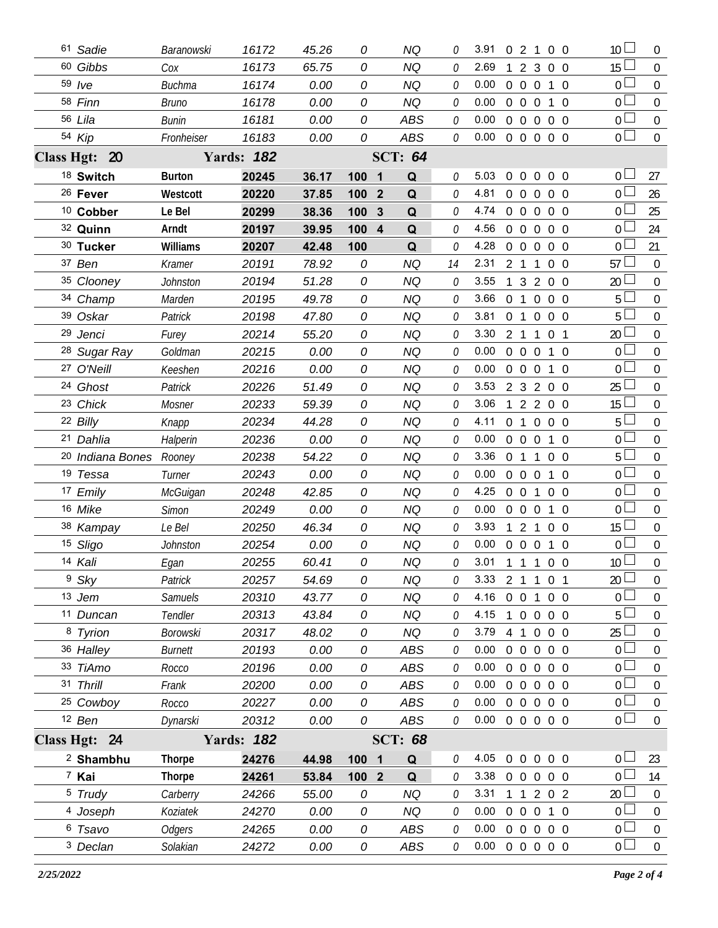| 61 Sadie                | Baranowski      | 16172             | 45.26 | 0          |                         | <b>NQ</b>      |    | 3.91                       | 0 2 1 0 0      |                   |                |                   |            | 10 <sup>L</sup>  | $\overline{0}$   |
|-------------------------|-----------------|-------------------|-------|------------|-------------------------|----------------|----|----------------------------|----------------|-------------------|----------------|-------------------|------------|------------------|------------------|
| 60 Gibbs                | Cox             | 16173             | 65.75 | 0          |                         | <b>NQ</b>      | 0  | 2.69                       | 1              | $\overline{2}$    |                | 3 0 0             |            | 15 <sup>15</sup> | $\overline{0}$   |
| $59$ /ve                | <b>Buchma</b>   | 16174             | 0.00  | 0          |                         | NQ             | 0  | 0.00                       |                | 0 0 0 1 0         |                |                   |            | 0 <sup>1</sup>   | $\mathbf 0$      |
| 58 Finn                 | <b>Bruno</b>    | 16178             | 0.00  | 0          |                         | <b>NQ</b>      | 0  | 0.00                       |                | $0\quad 0\quad 0$ |                |                   | 1 0        | 0 <sub>0</sub>   | $\overline{0}$   |
| 56 Lila                 | <b>Bunin</b>    | 16181             | 0.00  | 0          |                         | ABS            | 0  | 0.00                       | $0\quad 0$     |                   |                | $0\quad 0\quad 0$ |            | 0 <sub>0</sub>   | $\mathbf 0$      |
| 54 Kip                  | Fronheiser      | 16183             | 0.00  | 0          |                         | ABS            | 0  | $0.00 \t0 \t0 \t0 \t0 \t0$ |                |                   |                |                   |            | $0\perp$         | $\overline{0}$   |
| Class Hgt: 20           |                 | <b>Yards: 182</b> |       |            |                         | <b>SCT: 64</b> |    |                            |                |                   |                |                   |            |                  |                  |
| 18 Switch               | <b>Burton</b>   | 20245             | 36.17 | 1001       |                         | Q              | 0  | 5.03                       |                | 0 0 0 0 0         |                |                   |            | 0 L              | 27               |
| <sup>26</sup> Fever     | Westcott        | 20220             | 37.85 | 100        | $\overline{\mathbf{2}}$ | Q              | 0  | 4.81                       |                | 00000             |                |                   |            | 0 <sub>0</sub>   | 26               |
| <sup>10</sup> Cobber    | Le Bel          | 20299             | 38.36 | 100        | $\mathbf{3}$            | Q              | 0  | 4.74                       |                | 00000             |                |                   |            | 0 <sup>1</sup>   | 25               |
| 32 Quinn                | Arndt           | 20197             | 39.95 | 100 4      |                         | Q              | 0  | 4.56                       |                | 00000             |                |                   |            | 0 l              | 24               |
| 30 Tucker               | Williams        | 20207             | 42.48 | 100        |                         | Q              | O  | 4.28                       |                | 00000             |                |                   |            | 0 l              | 21               |
| 37 Ben                  | Kramer          | 20191             | 78.92 | 0          |                         | <b>NQ</b>      | 14 | 2.31                       | 2 <sub>1</sub> |                   | $\mathbf{1}$   |                   | $0\quad 0$ | 57               | $\overline{0}$   |
| 35 Clooney              | Johnston        | 20194             | 51.28 | 0          |                         | NQ             | 0  | 3.55                       |                | 3                 |                | 200               |            | 20               | $\overline{0}$   |
| 34 Champ                | Marden          | 20195             | 49.78 | 0          |                         | <b>NQ</b>      | 0  | 3.66                       | 0 <sub>1</sub> |                   | $\overline{0}$ | $0\quad 0$        |            | 5                | $\overline{0}$   |
| 39 Oskar                | Patrick         | 20198             | 47.80 | 0          |                         | <b>NQ</b>      | 0  | 3.81                       |                | 0 <sub>1</sub>    |                | $00$ $00$         |            | 5                | $\mathbf 0$      |
| 29 Jenci                | Furey           | 20214             | 55.20 | 0          |                         | <b>NQ</b>      | 0  | 3.30                       |                | 2 <sub>1</sub>    | $\mathbf{1}$   | 0 <sub>1</sub>    |            | 20               | $\overline{0}$   |
| <sup>28</sup> Sugar Ray | Goldman         | 20215             | 0.00  | 0          |                         | NQ             | 0  | 0.00                       |                | $0\quad 0\quad 0$ |                | 1 0               |            | $\overline{0}$   | $\overline{0}$   |
| 27 O'Neill              | Keeshen         | 20216             | 0.00  | 0          |                         | <b>NQ</b>      | 0  | 0.00                       | $0\quad 0$     |                   | $\mathbf 0$    | $1\quad 0$        |            | $\overline{0}$   | $\overline{0}$   |
| 24 Ghost                | Patrick         | 20226             | 51.49 | 0          |                         | <b>NQ</b>      | 0  | 3.53                       |                | 2 3 2 0 0         |                |                   |            | 25               | $\overline{0}$   |
| 23 Chick                | Mosner          | 20233             | 59.39 | 0          |                         | <b>NQ</b>      | 0  | 3.06                       | $\overline{1}$ | $\overline{2}$    |                | 200               |            | 15 <sup>15</sup> | $\mathbf 0$      |
| 22 Billy                | Knapp           | 20234             | 44.28 | 0          |                         | <b>NQ</b>      | 0  | 4.11                       |                | 0 1 0 0 0         |                |                   |            | 5                | $\mathbf 0$      |
| 21 Dahlia               | Halperin        | 20236             | 0.00  | 0          |                         | <b>NQ</b>      | 0  | 0.00                       | $0\quad 0$     |                   | $\mathbf 0$    |                   | 1 0        | 0 <sup>1</sup>   | $\overline{0}$   |
| 20 Indiana Bones Rooney |                 | 20238             | 54.22 | 0          |                         | <b>NQ</b>      | 0  | 3.36                       |                | 0 <sub>1</sub>    | 1              | $0\quad 0$        |            | 5 <sup>1</sup>   | $\mathbf 0$      |
| 19 Tessa                | Turner          | 20243             | 0.00  | 0          |                         | <b>NQ</b>      | 0  | 0.00                       |                | $0\quad 0$        | $\overline{0}$ |                   | $1\quad0$  | $\overline{0}$   | $\mathbf 0$      |
| 17 Emily                | McGuigan        | 20248             | 42.85 | 0          |                         | <b>NQ</b>      | 0  | 4.25                       | $0\quad 0$     |                   | $\mathbf{1}$   | $0\quad 0$        |            | 0 <sup>1</sup>   | $\mathbf 0$      |
| 16 Mike                 | <b>Simon</b>    | 20249             | 0.00  | 0          |                         | <b>NQ</b>      | 0  | 0.00                       |                | $0\quad 0\quad 0$ |                |                   | $1\quad 0$ | $\overline{0}$   | $\overline{0}$   |
| 38 Kampay               | Le Bel          | 20250             | 46.34 | 0          |                         | <b>NQ</b>      | 0  | 3.93                       | $\mathbf{1}$   | 2 <sub>1</sub>    |                | $0\quad 0$        |            | 15 <sup>15</sup> | $\mathbf 0$      |
| 15 Sligo                | <b>Johnston</b> | 20254             | 0.00  | 0          |                         | <b>NQ</b>      | 0  | 0.00                       |                | $0\quad 0\quad 0$ |                | $1\quad0$         |            | $\overline{0}$   | $\mathbf 0$      |
| 14 Kali                 | Egan            | 20255             | 60.41 | 0          |                         | NQ             |    | 3.01                       | 1 1 1 0 0      |                   |                |                   |            | 10 <sup>°</sup>  | $\boldsymbol{0}$ |
| <sup>9</sup> Sky        | Patrick         | 20257             | 54.69 | 0          |                         | <b>NQ</b>      | 0  | 3.33                       | 2 1 1 0 1      |                   |                |                   |            | 20               | $\mathbf 0$      |
| 13 Jem                  | <b>Samuels</b>  | 20310             | 43.77 | 0          |                         | <b>NQ</b>      | O  | 4.16                       |                | $0\quad 0$        | $\mathbf{1}$   | $0\quad 0$        |            | $\overline{0}$   | $\boldsymbol{0}$ |
| 11 Duncan               | Tendler         | 20313             | 43.84 | 0          |                         | <b>NQ</b>      | 0  | 4.15                       | $\overline{1}$ | 0 0 0 0           |                |                   |            | 5                | $\mathbf 0$      |
| 8 Tyrion                | Borowski        | 20317             | 48.02 | 0          |                         | <b>NQ</b>      | 0  | 3.79                       | 4              | $\overline{1}$    | $\overline{0}$ | $0\quad 0$        |            | 25               | $\boldsymbol{0}$ |
| 36 Halley               | <b>Burnett</b>  | 20193             | 0.00  | 0          |                         | ABS            | 0  | 0.00                       | $0\quad 0$     |                   | $\overline{0}$ | $0\quad 0$        |            | $\overline{0}$   | 0                |
| 33 TiAmo                | Rocco           | 20196             | 0.00  | 0          |                         | ABS            | 0  | 0.00                       | $0\quad 0$     |                   |                | $0\quad 0\quad 0$ |            | $\overline{0}$   | $\boldsymbol{0}$ |
| 31 Thrill               | Frank           | 20200             | 0.00  | 0          |                         | <b>ABS</b>     | 0  | 0.00                       | $0\quad 0$     |                   | $\overline{0}$ | $0\quad 0$        |            | $\overline{0}$   | 0                |
| 25 Cowboy               | Rocco           | 20227             | 0.00  | 0          |                         | <b>ABS</b>     | 0  | 0.00                       |                | $0\quad 0$        |                | $0\quad 0\quad 0$ |            | 0 <sup>1</sup>   | $\boldsymbol{0}$ |
| 12 Ben                  | Dynarski        | 20312             | 0.00  | 0          |                         | ABS            | 0  | 0.00                       |                | 0 0 0 0 0         |                |                   |            | 0 <sub>0</sub>   | $\mathbf 0$      |
| Class Hgt: 24           |                 | <b>Yards: 182</b> |       |            |                         | <b>SCT: 68</b> |    |                            |                |                   |                |                   |            |                  |                  |
| <sup>2</sup> Shambhu    | <b>Thorpe</b>   | 24276             | 44.98 | 100        | $\overline{\mathbf{1}}$ | Q              | O  | 4.05                       | $\overline{0}$ | $\overline{0}$    | $\mathbf 0$    | $0\quad 0$        |            | 0 <sup>1</sup>   | 23               |
| 7 Kai                   | <b>Thorpe</b>   | 24261             | 53.84 | $1002$     |                         | Q              | 0  | 3.38                       | $0\quad 0$     |                   | $\overline{0}$ | $0\quad 0$        |            | 0 <sup>1</sup>   | 14               |
| <sup>5</sup> Trudy      | Carberry        | 24266             | 55.00 | 0          |                         | NQ             | 0  | 3.31                       |                | $\overline{1}$    |                | $2 \t0 \t2$       |            | 20               | $\boldsymbol{0}$ |
| 4 Joseph                | Koziatek        | 24270             | 0.00  | 0          |                         | <b>NQ</b>      | 0  | 0.00                       | $0\quad 0$     |                   | $\overline{0}$ |                   | $1\quad$ 0 | $\overline{0}$   | $\boldsymbol{0}$ |
| 6 Tsavo                 | <b>Odgers</b>   | 24265             | 0.00  | 0          |                         | ABS            | 0  | 0.00                       | $0\quad 0$     |                   |                | $0\quad 0\quad 0$ |            | 0 <sup>1</sup>   | $\boldsymbol{0}$ |
| 3 Declan                | Solakian        | 24272             | 0.00  | ${\cal O}$ |                         | ABS            | 0  | $0.00 \t0 \t0 \t0 \t0 \t0$ |                |                   |                |                   |            | 0 <sub>0</sub>   | $\boldsymbol{0}$ |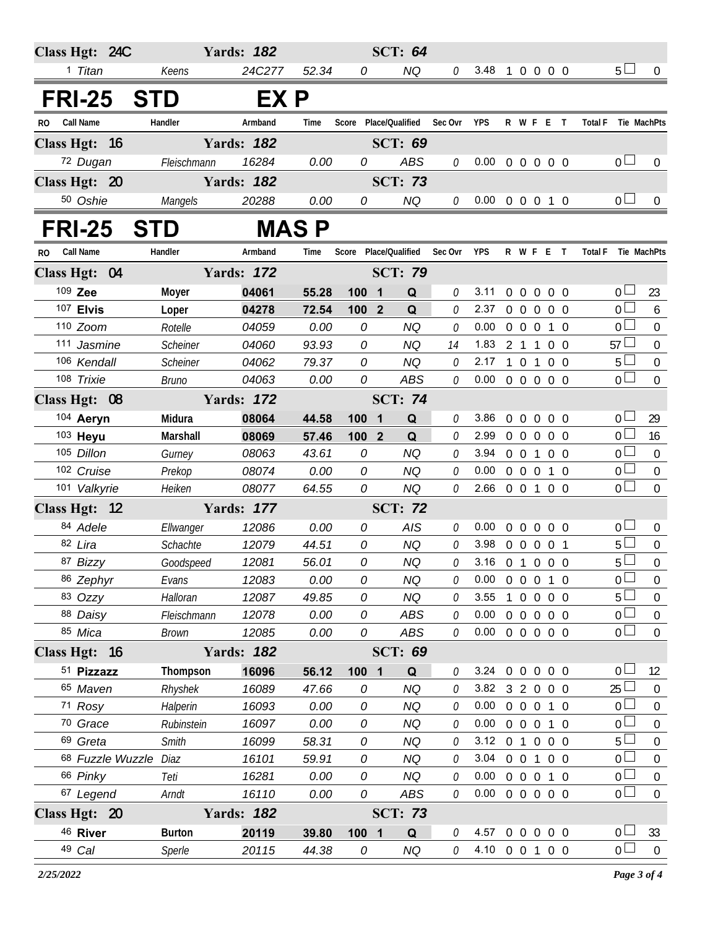| Class Hgt: 24C          |               | <b>Yards: 182</b> |              |                                | <b>SCT: 64</b>        |         |                            |                |                   |                |                   |                               |                  |
|-------------------------|---------------|-------------------|--------------|--------------------------------|-----------------------|---------|----------------------------|----------------|-------------------|----------------|-------------------|-------------------------------|------------------|
| 1 Titan                 | Keens         | 24C277            | 52.34        | 0                              | NQ                    | 0       | 3.48                       | $\overline{1}$ |                   |                | 0 0 0 0           | 5 <sub>1</sub>                | $\Omega$         |
| FRI-25 STD              |               | EX P              |              |                                |                       |         |                            |                |                   |                |                   |                               |                  |
| <b>Call Name</b><br>RO. | Handler       | Armband           | Time         |                                | Score Place/Qualified | Sec Ovr | <b>YPS</b>                 |                |                   |                | R W F E T         | <b>Total F</b>                | Tie MachPts      |
| Class Hgt: 16           |               | <b>Yards: 182</b> |              |                                | <b>SCT: 69</b>        |         |                            |                |                   |                |                   |                               |                  |
| 72 Dugan                | Fleischmann   | 16284             | 0.00         | 0                              | <b>ABS</b>            | 0       | $0.00 \t0 \t0 \t0 \t0 \t0$ |                |                   |                |                   | $\overline{0}$ $\overline{1}$ | $\Omega$         |
| Class Hgt: 20           |               | <b>Yards: 182</b> |              |                                | <b>SCT: 73</b>        |         |                            |                |                   |                |                   |                               |                  |
| 50 Oshie                | Mangels       | 20288             | 0.00         | 0                              | <b>NQ</b>             | 0       | $0.00 \t0 \t0 \t0 \t1 \t0$ |                |                   |                |                   | 0 <sub>0</sub>                | $\mathbf{0}$     |
| <b>FRI-25</b>           | <b>STD</b>    |                   | <b>MAS P</b> |                                |                       |         |                            |                |                   |                |                   |                               |                  |
| Call Name<br>RO.        | Handler       | Armband           | Time         |                                | Score Place/Qualified | Sec Ovr | <b>YPS</b>                 |                |                   |                | R W F E T         | <b>Total F</b>                | Tie MachPts      |
| Class Hgt: 04           |               | <b>Yards: 172</b> |              |                                | <b>SCT: 79</b>        |         |                            |                |                   |                |                   |                               |                  |
| 109 Zee                 | Moyer         | 04061             | 55.28        | 100<br>$\blacksquare$          | Q                     | 0       | 3.11                       | $\overline{0}$ | $\overline{0}$    |                | $0\quad 0\quad 0$ | 0 <sub>0</sub>                | 23               |
| 107 Elvis               | Loper         | 04278             | 72.54        | 100 2                          | Q                     | 0       | 2.37                       |                | $0\quad 0$        | $\overline{0}$ | $0\quad 0$        | 0 <sup>2</sup>                | 6                |
| 110 Zoom                | Rotelle       | 04059             | 0.00         | 0                              | <b>NQ</b>             | 0       | 0.00                       |                | $0\quad 0\quad 0$ |                | $1\quad 0$        | $\overline{0}$                | 0                |
| 111 Jasmine             | Scheiner      | 04060             | 93.93        | 0                              | <b>NQ</b>             | 14      | 1.83                       |                | 2 1 1             |                | 0 <sub>0</sub>    | 57                            | $\mathbf{0}$     |
| 106 Kendall             | Scheiner      | 04062             | 79.37        | 0                              | <b>NQ</b>             | 0       | 2.17                       | $\mathbf{1}$   | 0 <sub>1</sub>    |                | $0\quad 0$        | 5 <sub>1</sub>                | $\boldsymbol{0}$ |
| 108 Trixie              | Bruno         | 04063             | 0.00         | 0                              | <b>ABS</b>            | 0       | 0.00                       |                |                   |                | 0 0 0 0 0         | 0 <sub>1</sub>                | $\overline{0}$   |
| Class Hgt: 08           |               | <b>Yards: 172</b> |              |                                | <b>SCT: 74</b>        |         |                            |                |                   |                |                   |                               |                  |
| 104 Aeryn               | Midura        | 08064             | 44.58        | 100<br>$\overline{\mathbf{1}}$ | Q                     | 0       | 3.86                       | $\mathbf 0$    | $\mathbf 0$       | $\overline{0}$ | $0\quad 0$        | $0-$                          | 29               |
| 103 Heyu                | Marshall      | 08069             | 57.46        | 100 2                          | Q                     | 0       | 2.99                       |                | $0\quad 0$        | $\overline{0}$ | $0\quad 0$        | 0 <sub>0</sub>                | 16               |
| 105 Dillon              | Gurney        | 08063             | 43.61        | 0                              | <b>NQ</b>             | 0       | 3.94                       | $0\quad 0$     |                   | $\mathbf{1}$   | $0\quad 0$        | 0 <sup>2</sup>                | $\boldsymbol{0}$ |
| 102 Cruise              | Prekop        | 08074             | 0.00         | 0                              | <b>NQ</b>             | 0       | 0.00                       |                | $0\quad 0\quad 0$ |                | 1 0               | 0 <sub>0</sub>                | $\overline{0}$   |
| 101 Valkyrie            | Heiken        | 08077             | 64.55        | 0                              | <b>NQ</b>             | 0       | 2.66 0 0 1 0 0             |                |                   |                |                   | $\overline{0}$                | $\mathbf{0}$     |
| Class Hgt: 12           |               | <b>Yards: 177</b> |              |                                | <b>SCT: 72</b>        |         |                            |                |                   |                |                   |                               |                  |
| 84 Adele                | Ellwanger     | 12086             | 0.00         | 0                              | AIS                   | 0       | 0.00                       |                | $0\quad 0\quad 0$ |                | $0\quad 0$        | 0 <sup>1</sup>                | $\mathbf{0}$     |
| 82 Lira                 | Schachte      | 12079             | 44.51        | 0                              | <b>NQ</b>             | 0       | 3.98                       |                |                   |                | 0 0 0 0 1         | 5 <sup>1</sup>                | $\boldsymbol{0}$ |
| 87 Bizzy                | Goodspeed     | 12081             | 56.01        | 0                              | NQ                    | 0       | 3.16 0 1 0 0 0             |                |                   |                |                   | 5                             | $\boldsymbol{0}$ |
| 86 Zephyr               | Evans         | 12083             | 0.00         | 0                              | NQ                    | 0       | $0.00 \t0 \t0 \t0 \t1 \t0$ |                |                   |                |                   | $0\square$                    | $\overline{0}$   |
| 83 Ozzy                 | Halloran      | 12087             | 49.85        | 0                              | <b>NQ</b>             | 0       | 3.55                       |                |                   |                | 1 0 0 0 0         | 5                             | $\overline{0}$   |
| 88 Daisy                | Fleischmann   | 12078             | 0.00         | 0                              | ABS                   | 0       | $0.00 \t0 \t0 \t0 \t0 \t0$ |                |                   |                |                   | $0-$                          | $\boldsymbol{0}$ |
| 85 Mica                 | <b>Brown</b>  | 12085             | 0.00         | 0                              | ABS                   | 0       | $0.00 \t0 \t0 \t0 \t0 \t0$ |                |                   |                |                   | 0 <sub>0</sub>                | $\mathbf 0$      |
| Class Hgt: 16           |               | <b>Yards: 182</b> |              |                                | <b>SCT: 69</b>        |         |                            |                |                   |                |                   |                               |                  |
| 51 Pizzazz              | Thompson      | 16096             | 56.12        | 100 1                          | Q                     |         | 3.24 0 0 0 0 0             |                |                   |                |                   | 0 <sub>0</sub>                | 12               |
| 65 Maven                | Rhyshek       | 16089             | 47.66        | 0                              | <b>NQ</b>             | 0       | 3.82 3 2 0 0 0             |                |                   |                |                   | 25 <sup>1</sup>               | $\overline{0}$   |
| 71 Rosy                 | Halperin      | 16093             | 0.00         | 0                              | <b>NQ</b>             | 0       | $0.00 \t0 \t0 \t0 \t1 \t0$ |                |                   |                |                   | 0 <sub>0</sub>                | $\mathbf 0$      |
| 70 Grace                | Rubinstein    | 16097             | 0.00         | 0                              | <b>NQ</b>             | 0       | $0.00 \t0 \t0 \t0 \t1 \t0$ |                |                   |                |                   | 0 <sup>1</sup>                | 0                |
| 69 Greta                | Smith         | 16099             | 58.31        | 0                              | <b>NQ</b>             | 0       | 3.12 0 1 0 0 0             |                |                   |                |                   | 5 <sub>1</sub>                | $\mathbf 0$      |
| 68 Fuzzle Wuzzle Diaz   |               | 16101             | 59.91        | 0                              | <b>NQ</b>             | 0       | 3.04 0 0 1 0 0             |                |                   |                |                   | 0 L                           | $\overline{0}$   |
| 66 Pinky                | Teti          | 16281             | 0.00         | 0                              | NQ                    | 0       | $0.00 \t0 \t0 \t0 \t1 \t0$ |                |                   |                |                   | 0 <sup>1</sup>                | $\boldsymbol{0}$ |
| 67 Legend               | Arndt         | 16110             | 0.00         | 0                              | <b>ABS</b>            | 0       | $0.00 \t0 \t0 \t0 \t0 \t0$ |                |                   |                |                   | $0-$                          | $\mathbf 0$      |
| Class Hgt: 20           |               | <b>Yards: 182</b> |              |                                | <b>SCT: 73</b>        |         |                            |                |                   |                |                   |                               |                  |
| 46 River                | <b>Burton</b> | 20119             | 39.80        | 100 1                          | Q                     | 0       | 4.57 0 0 0 0 0             |                |                   |                |                   | 0 <sub>0</sub>                | 33               |
| 49 Cal                  | Sperle        | 20115             | 44.38        | 0                              | <b>NQ</b>             | 0       | 4.10 0 0 1 0 0             |                |                   |                |                   | 0 <sub>l</sub>                | $\boldsymbol{0}$ |